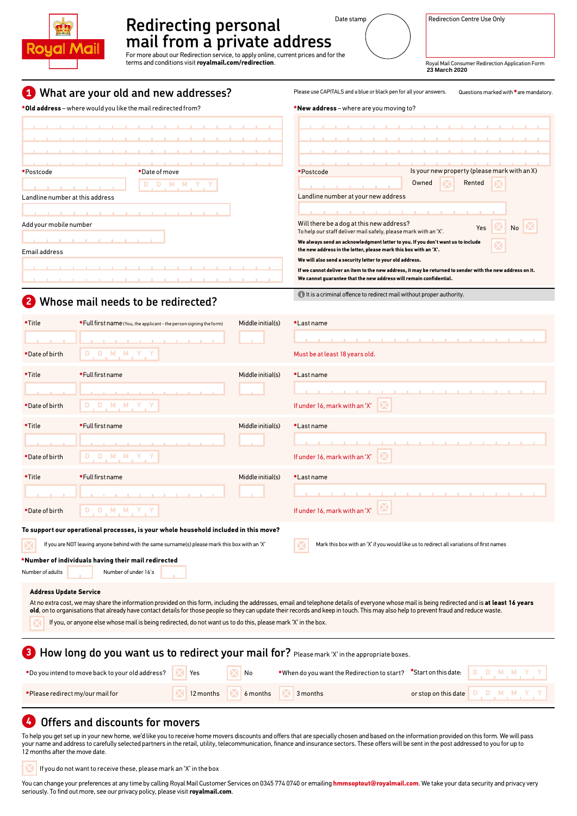

# Redirecting personal Date stamp Redirection Centre Use Only **mail from a private address**

For more about our Redirection service, to apply online, current prices and for the terms and conditions visit **royalmail.com/redirection**.

**23 March 2020**

#### **1 What are your old and new addresses?**

**Old address** – where would you like the mail redirected from?



#### **2 Whose mail needs to be redirected?**

Please use CAPITALS and a blue or black pen for all your answers. Questions marked with \*are mandatory

**New address** – where are you moving to?

| Date of move | Is your new property (please mark with an X)<br>*Postcode                                                                                                                       |
|--------------|---------------------------------------------------------------------------------------------------------------------------------------------------------------------------------|
|              | Rented<br>Owned                                                                                                                                                                 |
|              | Landline number at your new address                                                                                                                                             |
|              |                                                                                                                                                                                 |
|              | Will there be a dog at this new address?<br>Yes<br>No<br>To help our staff deliver mail safely, please mark with an 'X'.                                                        |
|              | We always send an acknowledgment letter to you. If you don't want us to include<br>the new address in the letter, please mark this box with an 'X'.                             |
|              | We will also send a security letter to your old address.                                                                                                                        |
|              | If we cannot deliver an item to the new address, it may be returned to sender with the new address on it.<br>We cannot guarantee that the new address will remain confidential. |
|              |                                                                                                                                                                                 |

 $\bigoplus$  It is a criminal offence to redirect mail without proper authority.

| *Title                                                                                                                                                                                                                                                                                                                                                                                                                   | * Full first name (You, the applicant - the person signing the form) | Middle initial(s) | *Last name                                                                         |  |  |  |
|--------------------------------------------------------------------------------------------------------------------------------------------------------------------------------------------------------------------------------------------------------------------------------------------------------------------------------------------------------------------------------------------------------------------------|----------------------------------------------------------------------|-------------------|------------------------------------------------------------------------------------|--|--|--|
|                                                                                                                                                                                                                                                                                                                                                                                                                          |                                                                      |                   |                                                                                    |  |  |  |
| *Date of birth                                                                                                                                                                                                                                                                                                                                                                                                           | D M M Y<br>D                                                         |                   | Must be at least 18 years old.                                                     |  |  |  |
| *Title                                                                                                                                                                                                                                                                                                                                                                                                                   | *Full first name                                                     | Middle initial(s) | *Last name                                                                         |  |  |  |
|                                                                                                                                                                                                                                                                                                                                                                                                                          |                                                                      |                   |                                                                                    |  |  |  |
| *Date of birth                                                                                                                                                                                                                                                                                                                                                                                                           | D M M Y<br>D                                                         |                   | If under 16, mark with an 'X'                                                      |  |  |  |
| *Title                                                                                                                                                                                                                                                                                                                                                                                                                   | *Full first name                                                     | Middle initial(s) | *Last name                                                                         |  |  |  |
|                                                                                                                                                                                                                                                                                                                                                                                                                          |                                                                      |                   |                                                                                    |  |  |  |
| *Date of birth                                                                                                                                                                                                                                                                                                                                                                                                           | D M M Y<br>D.                                                        |                   | If under 16, mark with an 'X'                                                      |  |  |  |
| *Title                                                                                                                                                                                                                                                                                                                                                                                                                   | *Full first name                                                     | Middle initial(s) | *Last name                                                                         |  |  |  |
|                                                                                                                                                                                                                                                                                                                                                                                                                          |                                                                      |                   |                                                                                    |  |  |  |
| *Date of birth                                                                                                                                                                                                                                                                                                                                                                                                           | D<br>D.<br>N M Y                                                     |                   | If under 16, mark with an 'X'                                                      |  |  |  |
| To support our operational processes, is your whole household included in this move?                                                                                                                                                                                                                                                                                                                                     |                                                                      |                   |                                                                                    |  |  |  |
| If you are NOT leaving anyone behind with the same surname(s) please mark this box with an 'X'<br>Mark this box with an 'X' if you would like us to redirect all variations of first names                                                                                                                                                                                                                               |                                                                      |                   |                                                                                    |  |  |  |
| Number of individuals having their mail redirected<br>Number of adults<br>Number of under 16's                                                                                                                                                                                                                                                                                                                           |                                                                      |                   |                                                                                    |  |  |  |
|                                                                                                                                                                                                                                                                                                                                                                                                                          |                                                                      |                   |                                                                                    |  |  |  |
| <b>Address Update Service</b><br>At no extra cost, we may share the information provided on this form, including the addresses, email and telephone details of everyone whose mail is being redirected and is at least 16 years<br>old, on to organisations that already have contact details for those people so they can update their records and keep in touch. This may also help to prevent fraud and reduce waste. |                                                                      |                   |                                                                                    |  |  |  |
| If you, or anyone else whose mail is being redirected, do not want us to do this, please mark 'X' in the box.                                                                                                                                                                                                                                                                                                            |                                                                      |                   |                                                                                    |  |  |  |
| <b>3</b> How long do you want us to redirect your mail for? Please mark 'X' in the appropriate boxes.                                                                                                                                                                                                                                                                                                                    |                                                                      |                   |                                                                                    |  |  |  |
|                                                                                                                                                                                                                                                                                                                                                                                                                          | *Do you intend to move back to your old address?<br>Yes              | No                | *When do you want the Redirection to start?<br>"Start on this date:<br>D<br>D<br>M |  |  |  |
| *Please redirect my/our mail for                                                                                                                                                                                                                                                                                                                                                                                         | 12 months                                                            | 6 months          | D<br>D<br>M<br>M<br>3 months<br>or stop on this date                               |  |  |  |

### **4 Offers and discounts for movers**

To help you get set up in your new home, we'd like you to receive home movers discounts and offers that are specially chosen and based on the information provided on this form. We will pass your name and address to carefully selected partners in the retail, utility, telecommunication, finance and insurance sectors. These offers will be sent in the post addressed to you for up to 12 months after the move date.

If you do not want to receive these, please mark an 'X' in the box X

You can change your preferences at any time by calling Royal Mail Customer Services on 0345 774 0740 or emailing **hmmsoptout@royalmail.com**. We take your data security and privacy very seriously. To find out more, see our privacy policy, please visit **royalmail.com**.